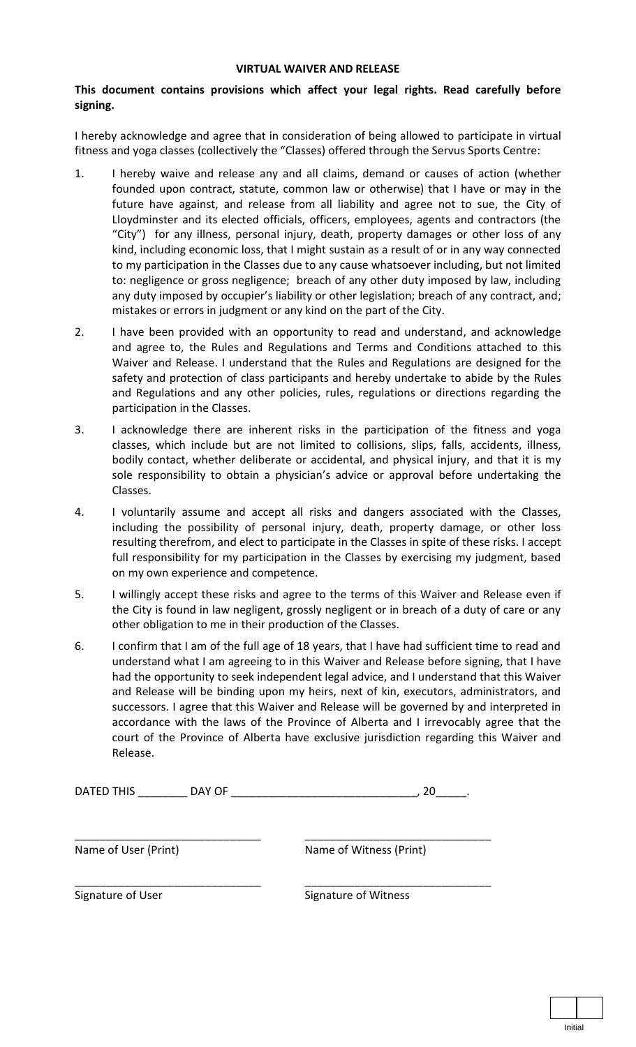## **VIRTUAL WAIVER AND RELEASE**

## **This document contains provisions which affect your legal rights. Read carefully before signing.**

I hereby acknowledge and agree that in consideration of being allowed to participate in virtual fitness and yoga classes (collectively the "Classes) offered through the Servus Sports Centre:

- 1. I hereby waive and release any and all claims, demand or causes of action (whether founded upon contract, statute, common law or otherwise) that I have or may in the future have against, and release from all liability and agree not to sue, the City of Lloydminster and its elected officials, officers, employees, agents and contractors (the "City") for any illness, personal injury, death, property damages or other loss of any kind, including economic loss, that I might sustain as a result of or in any way connected to my participation in the Classes due to any cause whatsoever including, but not limited to: negligence or gross negligence; breach of any other duty imposed by law, including any duty imposed by occupier's liability or other legislation; breach of any contract, and; mistakes or errors in judgment or any kind on the part of the City.
- 2. I have been provided with an opportunity to read and understand, and acknowledge and agree to, the Rules and Regulations and Terms and Conditions attached to this Waiver and Release. I understand that the Rules and Regulations are designed for the safety and protection of class participants and hereby undertake to abide by the Rules and Regulations and any other policies, rules, regulations or directions regarding the participation in the Classes.
- 3. I acknowledge there are inherent risks in the participation of the fitness and yoga classes, which include but are not limited to collisions, slips, falls, accidents, illness, bodily contact, whether deliberate or accidental, and physical injury, and that it is my sole responsibility to obtain a physician's advice or approval before undertaking the Classes.
- 4. I voluntarily assume and accept all risks and dangers associated with the Classes, including the possibility of personal injury, death, property damage, or other loss resulting therefrom, and elect to participate in the Classes in spite of these risks. I accept full responsibility for my participation in the Classes by exercising my judgment, based on my own experience and competence.
- 5. I willingly accept these risks and agree to the terms of this Waiver and Release even if the City is found in law negligent, grossly negligent or in breach of a duty of care or any other obligation to me in their production of the Classes.
- 6. I confirm that I am of the full age of 18 years, that I have had sufficient time to read and understand what I am agreeing to in this Waiver and Release before signing, that I have had the opportunity to seek independent legal advice, and I understand that this Waiver and Release will be binding upon my heirs, next of kin, executors, administrators, and successors. I agree that this Waiver and Release will be governed by and interpreted in accordance with the laws of the Province of Alberta and I irrevocably agree that the court of the Province of Alberta have exclusive jurisdiction regarding this Waiver and Release.

| <b>DATED TH</b><br><b>TULLO</b><br>_______ | . |  |
|--------------------------------------------|---|--|
|--------------------------------------------|---|--|

Name of User (Print)

\_\_\_\_\_\_\_\_\_\_\_\_\_\_\_\_\_\_\_\_\_\_\_\_\_\_\_\_\_\_

\_\_\_\_\_\_\_\_\_\_\_\_\_\_\_\_\_\_\_\_\_\_\_\_\_\_\_\_\_\_

Name of Witness (Print)

\_\_\_\_\_\_\_\_\_\_\_\_\_\_\_\_\_\_\_\_\_\_\_\_\_\_\_\_\_\_

\_\_\_\_\_\_\_\_\_\_\_\_\_\_\_\_\_\_\_\_\_\_\_\_\_\_\_\_\_\_

Signature of User

Signature of Witness